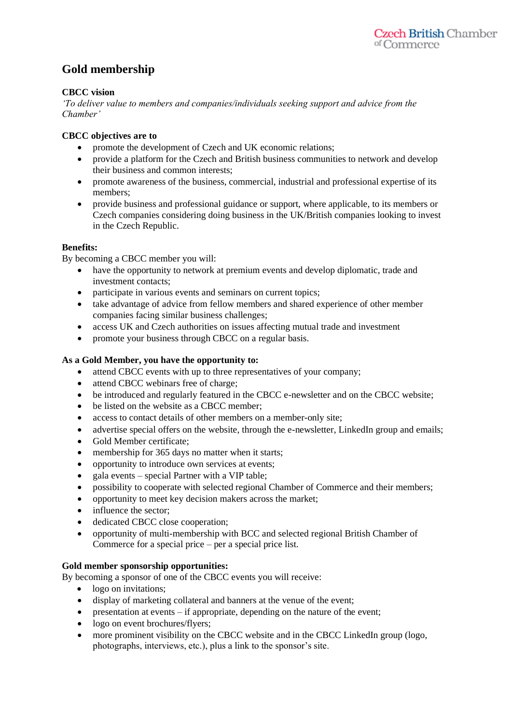# **Gold membership**

### **CBCC vision**

*'To deliver value to members and companies/individuals seeking support and advice from the Chamber'*

#### **CBCC objectives are to**

- promote the development of Czech and UK economic relations;
- provide a platform for the Czech and British business communities to network and develop their business and common interests;
- promote awareness of the business, commercial, industrial and professional expertise of its members;
- provide business and professional guidance or support, where applicable, to its members or Czech companies considering doing business in the UK/British companies looking to invest in the Czech Republic.

#### **Benefits:**

By becoming a CBCC member you will:

- have the opportunity to network at premium events and develop diplomatic, trade and investment contacts;
- participate in various events and seminars on current topics;
- take advantage of advice from fellow members and shared experience of other member companies facing similar business challenges;
- access UK and Czech authorities on issues affecting mutual trade and investment
- promote your business through CBCC on a regular basis.

#### **As a Gold Member, you have the opportunity to:**

- attend CBCC events with up to three representatives of your company;
- attend CBCC webinars free of charge;
- be introduced and regularly featured in the CBCC e-newsletter and on the CBCC website;
- be listed on the website as a CBCC member:
- access to contact details of other members on a member-only site;
- advertise special offers on the website, through the e-newsletter, LinkedIn group and emails;
- Gold Member certificate;
- membership for 365 days no matter when it starts;
- opportunity to introduce own services at events;
- gala events special Partner with a VIP table;
- possibility to cooperate with selected regional Chamber of Commerce and their members;
- opportunity to meet key decision makers across the market;
- influence the sector:
- dedicated CBCC close cooperation:
- opportunity of multi-membership with BCC and selected regional British Chamber of Commerce for a special price – per a special price list.

#### **Gold member sponsorship opportunities:**

By becoming a sponsor of one of the CBCC events you will receive:

- logo on invitations;
- display of marketing collateral and banners at the venue of the event;
- presentation at events if appropriate, depending on the nature of the event;
- logo on event brochures/flyers;
- more prominent visibility on the CBCC website and in the CBCC LinkedIn group (logo, photographs, interviews, etc.), plus a link to the sponsor's site.